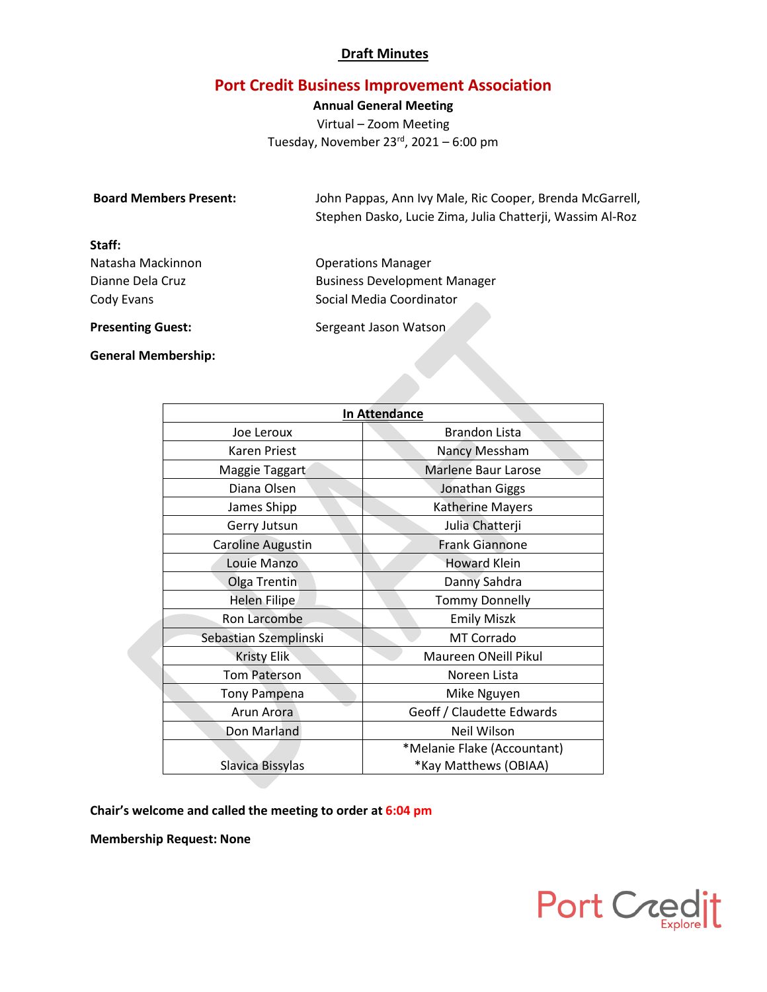# **Port Credit Business Improvement Association**

**Annual General Meeting** Virtual – Zoom Meeting Tuesday, November  $23<sup>rd</sup>$ , 2021 – 6:00 pm

| <b>Board Members Present:</b> | John Pappas, Ann Ivy Male, Ric Cooper, Brenda McGarrell,<br>Stephen Dasko, Lucie Zima, Julia Chatterji, Wassim Al-Roz |  |
|-------------------------------|-----------------------------------------------------------------------------------------------------------------------|--|
| Staff:                        |                                                                                                                       |  |
| Natasha Mackinnon             | <b>Operations Manager</b>                                                                                             |  |
| Dianne Dela Cruz              | <b>Business Development Manager</b>                                                                                   |  |
| Cody Evans                    | Social Media Coordinator                                                                                              |  |
| <b>Presenting Guest:</b>      | Sergeant Jason Watson                                                                                                 |  |

**General Membership:**

| <b>In Attendance</b>  |                             |  |
|-----------------------|-----------------------------|--|
| Joe Leroux            | <b>Brandon Lista</b>        |  |
| Karen Priest          | Nancy Messham               |  |
| Maggie Taggart        | Marlene Baur Larose         |  |
| Diana Olsen           | Jonathan Giggs              |  |
| James Shipp           | <b>Katherine Mayers</b>     |  |
| Gerry Jutsun          | Julia Chatterji             |  |
| Caroline Augustin     | <b>Frank Giannone</b>       |  |
| Louie Manzo           | <b>Howard Klein</b>         |  |
| Olga Trentin          | Danny Sahdra                |  |
| <b>Helen Filipe</b>   | <b>Tommy Donnelly</b>       |  |
| Ron Larcombe          | <b>Emily Miszk</b>          |  |
| Sebastian Szemplinski | MT Corrado                  |  |
| <b>Kristy Elik</b>    | Maureen ONeill Pikul        |  |
| <b>Tom Paterson</b>   | Noreen Lista                |  |
| <b>Tony Pampena</b>   | Mike Nguyen                 |  |
| Arun Arora            | Geoff / Claudette Edwards   |  |
| Don Marland           | Neil Wilson                 |  |
|                       | *Melanie Flake (Accountant) |  |
| Slavica Bissylas      | *Kay Matthews (OBIAA)       |  |

**Chair's welcome and called the meeting to order at 6:04 pm**

**Membership Request: None**

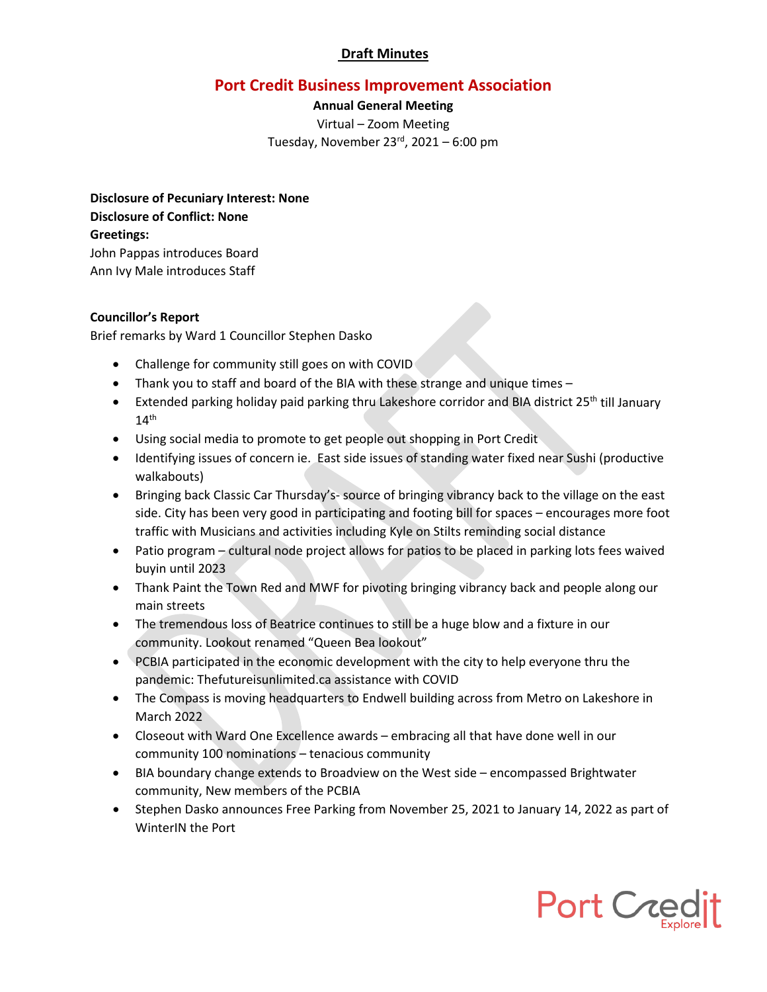# **Port Credit Business Improvement Association**

**Annual General Meeting** Virtual – Zoom Meeting Tuesday, November  $23<sup>rd</sup>$ , 2021 – 6:00 pm

**Disclosure of Pecuniary Interest: None Disclosure of Conflict: None Greetings:** John Pappas introduces Board Ann Ivy Male introduces Staff

#### **Councillor's Report**

Brief remarks by Ward 1 Councillor Stephen Dasko

- Challenge for community still goes on with COVID
- Thank you to staff and board of the BIA with these strange and unique times –
- Extended parking holiday paid parking thru Lakeshore corridor and BIA district 25<sup>th</sup> till January  $14<sup>th</sup>$
- Using social media to promote to get people out shopping in Port Credit
- Identifying issues of concern ie. East side issues of standing water fixed near Sushi (productive walkabouts)
- Bringing back Classic Car Thursday's- source of bringing vibrancy back to the village on the east side. City has been very good in participating and footing bill for spaces – encourages more foot traffic with Musicians and activities including Kyle on Stilts reminding social distance
- Patio program cultural node project allows for patios to be placed in parking lots fees waived buyin until 2023
- Thank Paint the Town Red and MWF for pivoting bringing vibrancy back and people along our main streets
- The tremendous loss of Beatrice continues to still be a huge blow and a fixture in our community. Lookout renamed "Queen Bea lookout"
- PCBIA participated in the economic development with the city to help everyone thru the pandemic: Thefutureisunlimited.ca assistance with COVID
- The Compass is moving headquarters to Endwell building across from Metro on Lakeshore in March 2022
- Closeout with Ward One Excellence awards embracing all that have done well in our community 100 nominations – tenacious community
- BIA boundary change extends to Broadview on the West side encompassed Brightwater community, New members of the PCBIA
- Stephen Dasko announces Free Parking from November 25, 2021 to January 14, 2022 as part of WinterIN the Port

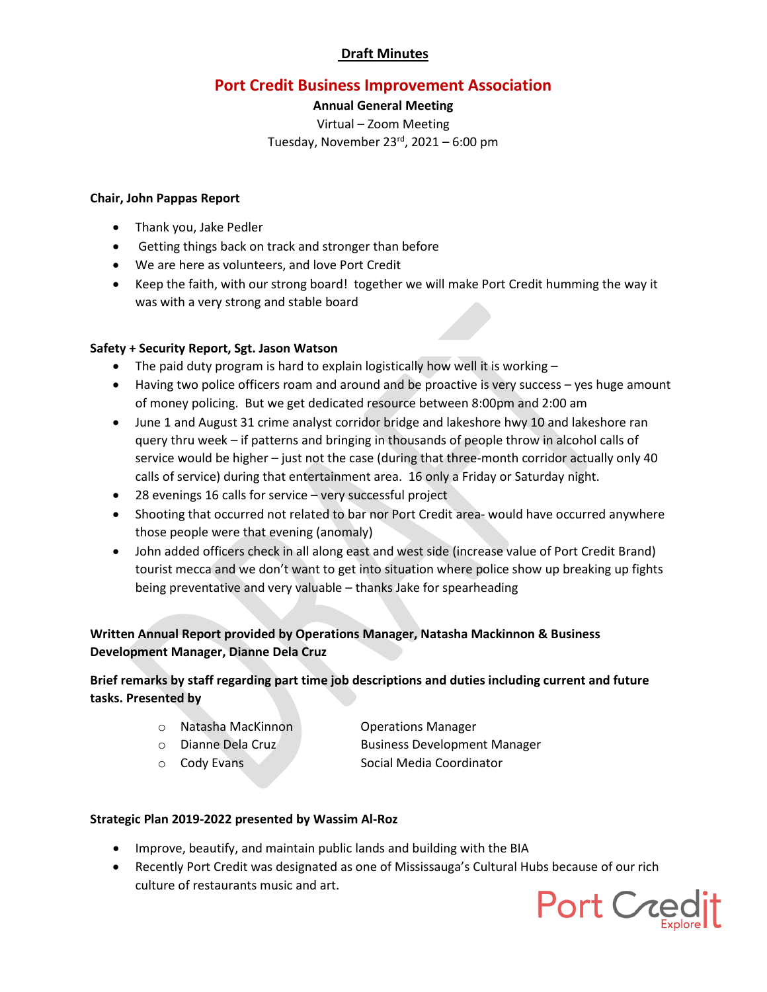# **Port Credit Business Improvement Association**

### **Annual General Meeting**

Virtual – Zoom Meeting Tuesday, November  $23<sup>rd</sup>$ , 2021 – 6:00 pm

#### **Chair, John Pappas Report**

- Thank you, Jake Pedler
- Getting things back on track and stronger than before
- We are here as volunteers, and love Port Credit
- Keep the faith, with our strong board! together we will make Port Credit humming the way it was with a very strong and stable board

### **Safety + Security Report, Sgt. Jason Watson**

- The paid duty program is hard to explain logistically how well it is working  $-$
- Having two police officers roam and around and be proactive is very success yes huge amount of money policing. But we get dedicated resource between 8:00pm and 2:00 am
- June 1 and August 31 crime analyst corridor bridge and lakeshore hwy 10 and lakeshore ran query thru week – if patterns and bringing in thousands of people throw in alcohol calls of service would be higher – just not the case (during that three-month corridor actually only 40 calls of service) during that entertainment area. 16 only a Friday or Saturday night.
- 28 evenings 16 calls for service very successful project
- Shooting that occurred not related to bar nor Port Credit area- would have occurred anywhere those people were that evening (anomaly)
- John added officers check in all along east and west side (increase value of Port Credit Brand) tourist mecca and we don't want to get into situation where police show up breaking up fights being preventative and very valuable – thanks Jake for spearheading

## **Written Annual Report provided by Operations Manager, Natasha Mackinnon & Business Development Manager, Dianne Dela Cruz**

## **Brief remarks by staff regarding part time job descriptions and duties including current and future tasks. Presented by**

o Natasha MacKinnon Operations Manager

- o Dianne Dela Cruz Business Development Manager
- o Cody Evans Social Media Coordinator
- **Strategic Plan 2019-2022 presented by Wassim Al-Roz**
	- Improve, beautify, and maintain public lands and building with the BIA
	- Recently Port Credit was designated as one of Mississauga's Cultural Hubs because of our rich culture of restaurants music and art.

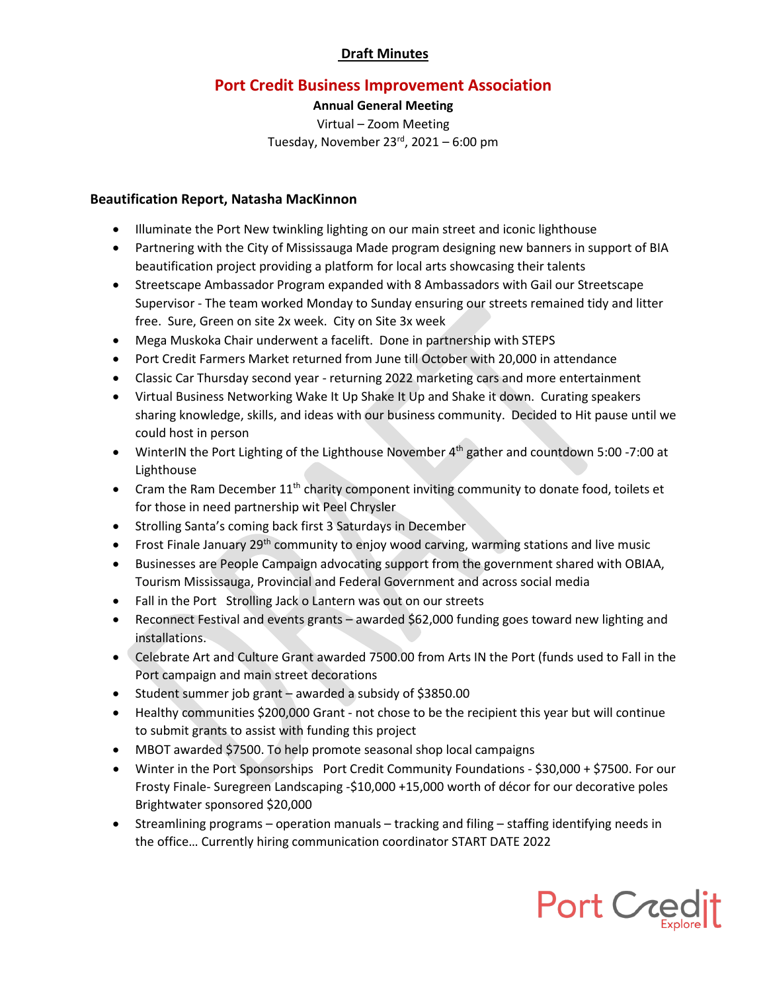# **Port Credit Business Improvement Association**

### **Annual General Meeting**

Virtual – Zoom Meeting Tuesday, November  $23<sup>rd</sup>$ , 2021 – 6:00 pm

## **Beautification Report, Natasha MacKinnon**

- Illuminate the Port New twinkling lighting on our main street and iconic lighthouse
- Partnering with the City of Mississauga Made program designing new banners in support of BIA beautification project providing a platform for local arts showcasing their talents
- Streetscape Ambassador Program expanded with 8 Ambassadors with Gail our Streetscape Supervisor - The team worked Monday to Sunday ensuring our streets remained tidy and litter free. Sure, Green on site 2x week. City on Site 3x week
- Mega Muskoka Chair underwent a facelift. Done in partnership with STEPS
- Port Credit Farmers Market returned from June till October with 20,000 in attendance
- Classic Car Thursday second year returning 2022 marketing cars and more entertainment
- Virtual Business Networking Wake It Up Shake It Up and Shake it down. Curating speakers sharing knowledge, skills, and ideas with our business community. Decided to Hit pause until we could host in person
- WinterIN the Port Lighting of the Lighthouse November 4<sup>th</sup> gather and countdown 5:00 -7:00 at Lighthouse
- Cram the Ram December  $11<sup>th</sup>$  charity component inviting community to donate food, toilets et for those in need partnership wit Peel Chrysler
- Strolling Santa's coming back first 3 Saturdays in December
- Frost Finale January  $29<sup>th</sup>$  community to enjoy wood carving, warming stations and live music
- Businesses are People Campaign advocating support from the government shared with OBIAA, Tourism Mississauga, Provincial and Federal Government and across social media
- Fall in the Port Strolling Jack o Lantern was out on our streets
- Reconnect Festival and events grants awarded \$62,000 funding goes toward new lighting and installations.
- Celebrate Art and Culture Grant awarded 7500.00 from Arts IN the Port (funds used to Fall in the Port campaign and main street decorations
- Student summer job grant awarded a subsidy of \$3850.00
- Healthy communities \$200,000 Grant not chose to be the recipient this year but will continue to submit grants to assist with funding this project
- MBOT awarded \$7500. To help promote seasonal shop local campaigns
- Winter in the Port Sponsorships Port Credit Community Foundations \$30,000 + \$7500. For our Frosty Finale- Suregreen Landscaping -\$10,000 +15,000 worth of décor for our decorative poles Brightwater sponsored \$20,000
- Streamlining programs operation manuals tracking and filing staffing identifying needs in the office… Currently hiring communication coordinator START DATE 2022

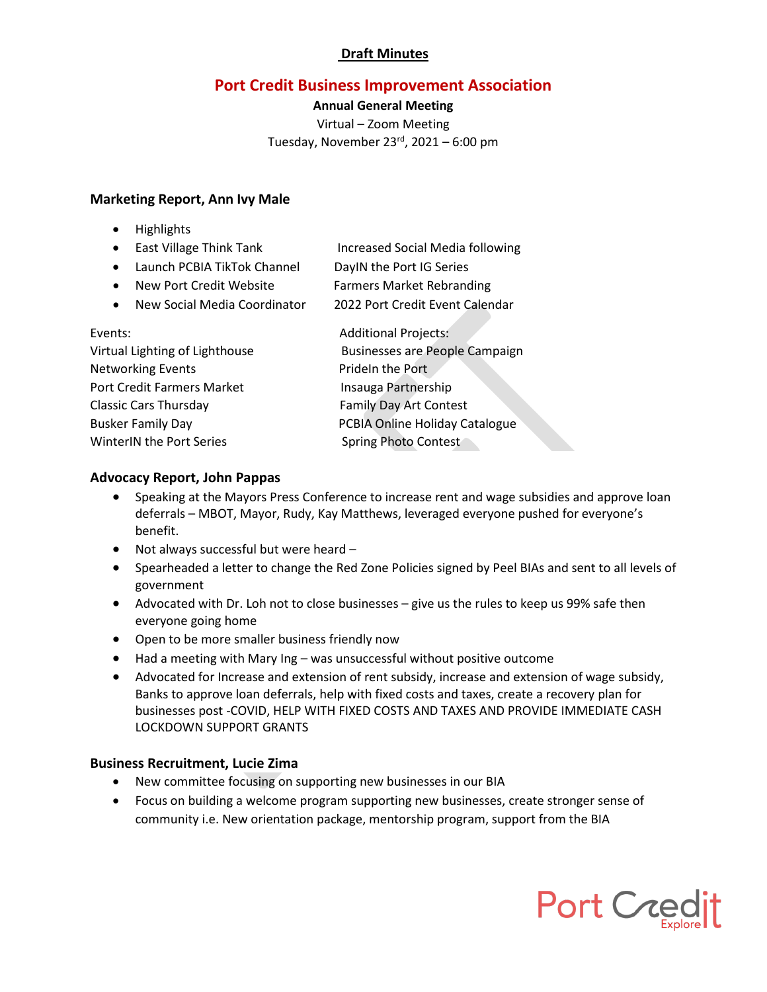# **Port Credit Business Improvement Association**

#### **Annual General Meeting**

Virtual – Zoom Meeting Tuesday, November  $23<sup>rd</sup>$ , 2021 – 6:00 pm

### **Marketing Report, Ann Ivy Male**

- Highlights
- East Village Think Tank Increased Social Media following
- Launch PCBIA TikTok Channel DayIN the Port IG Series
- New Port Credit Website Farmers Market Rebranding
- New Social Media Coordinator 2022 Port Credit Event Calendar

| Events:                        | <b>Additional Projects:</b>           |
|--------------------------------|---------------------------------------|
| Virtual Lighting of Lighthouse | <b>Businesses are People Campaign</b> |
| <b>Networking Events</b>       | Prideln the Port                      |
| Port Credit Farmers Market     | Insauga Partnership                   |
| <b>Classic Cars Thursday</b>   | <b>Family Day Art Contest</b>         |
| <b>Busker Family Day</b>       | PCBIA Online Holiday Catalogue        |
| WinterIN the Port Series       | Spring Photo Contest                  |

## **Advocacy Report, John Pappas**

- Speaking at the Mayors Press Conference to increase rent and wage subsidies and approve loan deferrals – MBOT, Mayor, Rudy, Kay Matthews, leveraged everyone pushed for everyone's benefit.
- Not always successful but were heard –
- Spearheaded a letter to change the Red Zone Policies signed by Peel BIAs and sent to all levels of government
- Advocated with Dr. Loh not to close businesses give us the rules to keep us 99% safe then everyone going home
- Open to be more smaller business friendly now
- Had a meeting with Mary Ing was unsuccessful without positive outcome
- Advocated for Increase and extension of rent subsidy, increase and extension of wage subsidy, Banks to approve loan deferrals, help with fixed costs and taxes, create a recovery plan for businesses post -COVID, HELP WITH FIXED COSTS AND TAXES AND PROVIDE IMMEDIATE CASH LOCKDOWN SUPPORT GRANTS

### **Business Recruitment, Lucie Zima**

- New committee focusing on supporting new businesses in our BIA
- Focus on building a welcome program supporting new businesses, create stronger sense of community i.e. New orientation package, mentorship program, support from the BIA

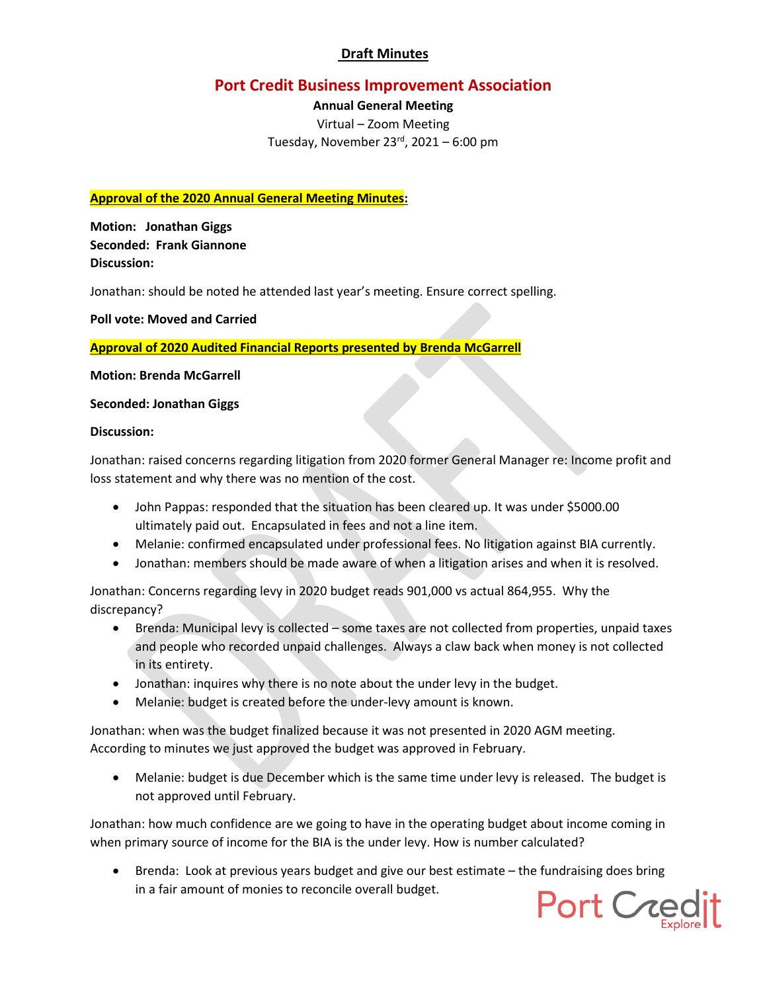# **Port Credit Business Improvement Association**

## **Annual General Meeting**

Virtual – Zoom Meeting Tuesday, November  $23<sup>rd</sup>$ , 2021 – 6:00 pm

#### **Approval of the 2020 Annual General Meeting Minutes:**

**Motion: Jonathan Giggs Seconded: Frank Giannone Discussion:**

Jonathan: should be noted he attended last year's meeting. Ensure correct spelling.

**Poll vote: Moved and Carried**

**Approval of 2020 Audited Financial Reports presented by Brenda McGarrell**

#### **Motion: Brenda McGarrell**

#### **Seconded: Jonathan Giggs**

#### **Discussion:**

Jonathan: raised concerns regarding litigation from 2020 former General Manager re: Income profit and loss statement and why there was no mention of the cost.

- John Pappas: responded that the situation has been cleared up. It was under \$5000.00 ultimately paid out. Encapsulated in fees and not a line item.
- Melanie: confirmed encapsulated under professional fees. No litigation against BIA currently.
- Jonathan: members should be made aware of when a litigation arises and when it is resolved.

Jonathan: Concerns regarding levy in 2020 budget reads 901,000 vs actual 864,955. Why the discrepancy?

- Brenda: Municipal levy is collected some taxes are not collected from properties, unpaid taxes and people who recorded unpaid challenges. Always a claw back when money is not collected in its entirety.
- Jonathan: inquires why there is no note about the under levy in the budget.
- Melanie: budget is created before the under-levy amount is known.

Jonathan: when was the budget finalized because it was not presented in 2020 AGM meeting. According to minutes we just approved the budget was approved in February.

• Melanie: budget is due December which is the same time under levy is released. The budget is not approved until February.

Jonathan: how much confidence are we going to have in the operating budget about income coming in when primary source of income for the BIA is the under levy. How is number calculated?

• Brenda: Look at previous years budget and give our best estimate – the fundraising does bring in a fair amount of monies to reconcile overall budget.

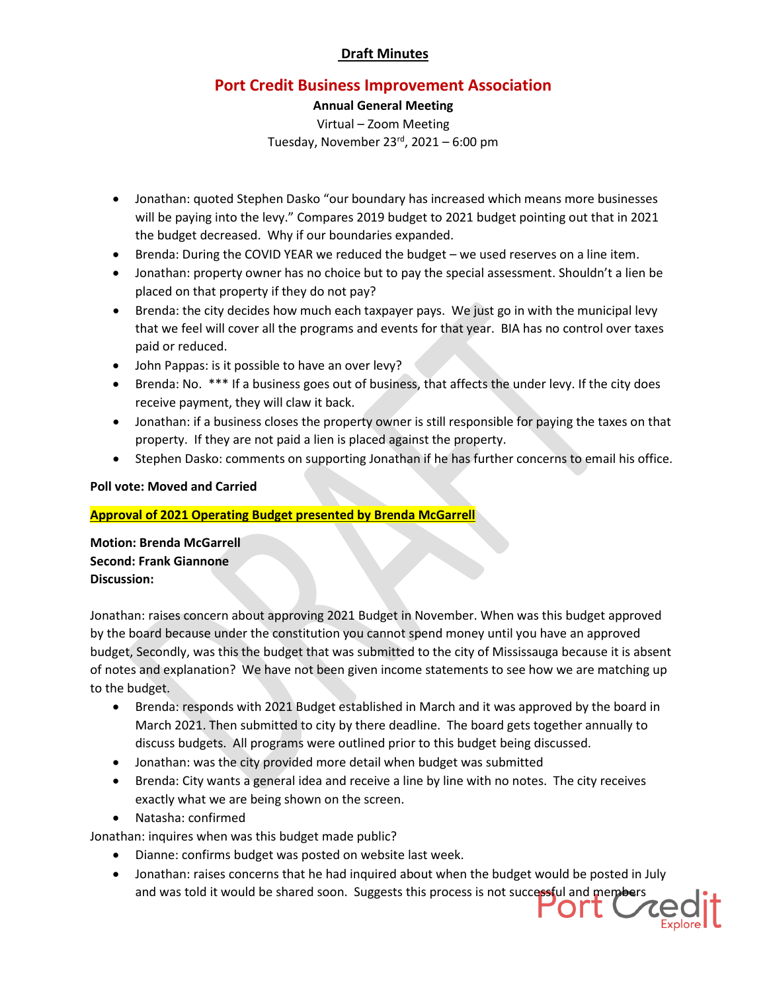# **Port Credit Business Improvement Association**

### **Annual General Meeting**

Virtual – Zoom Meeting Tuesday, November  $23<sup>rd</sup>$ , 2021 – 6:00 pm

- Jonathan: quoted Stephen Dasko "our boundary has increased which means more businesses will be paying into the levy." Compares 2019 budget to 2021 budget pointing out that in 2021 the budget decreased. Why if our boundaries expanded.
- Brenda: During the COVID YEAR we reduced the budget we used reserves on a line item.
- Jonathan: property owner has no choice but to pay the special assessment. Shouldn't a lien be placed on that property if they do not pay?
- Brenda: the city decides how much each taxpayer pays. We just go in with the municipal levy that we feel will cover all the programs and events for that year. BIA has no control over taxes paid or reduced.
- John Pappas: is it possible to have an over levy?
- Brenda: No. \*\*\* If a business goes out of business, that affects the under levy. If the city does receive payment, they will claw it back.
- Jonathan: if a business closes the property owner is still responsible for paying the taxes on that property. If they are not paid a lien is placed against the property.
- Stephen Dasko: comments on supporting Jonathan if he has further concerns to email his office.

### **Poll vote: Moved and Carried**

### **Approval of 2021 Operating Budget presented by Brenda McGarrell**

**Motion: Brenda McGarrell Second: Frank Giannone Discussion:**

Jonathan: raises concern about approving 2021 Budget in November. When was this budget approved by the board because under the constitution you cannot spend money until you have an approved budget, Secondly, was this the budget that was submitted to the city of Mississauga because it is absent of notes and explanation? We have not been given income statements to see how we are matching up to the budget.

- Brenda: responds with 2021 Budget established in March and it was approved by the board in March 2021. Then submitted to city by there deadline. The board gets together annually to discuss budgets. All programs were outlined prior to this budget being discussed.
- Jonathan: was the city provided more detail when budget was submitted
- Brenda: City wants a general idea and receive a line by line with no notes. The city receives exactly what we are being shown on the screen.
- Natasha: confirmed

Jonathan: inquires when was this budget made public?

- Dianne: confirms budget was posted on website last week.
- Jonathan: raises concerns that he had inquired about when the budget would be posted in July and was told it would be shared soon. Suggests this process is not successful and members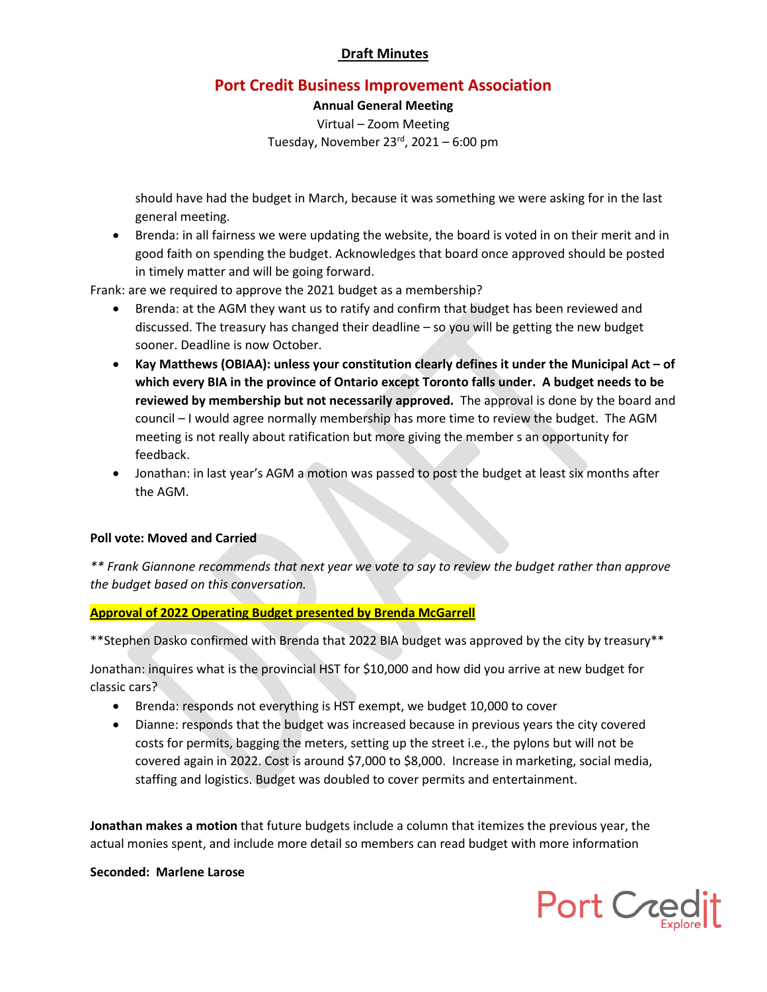# **Port Credit Business Improvement Association**

**Annual General Meeting**

Virtual – Zoom Meeting Tuesday, November  $23<sup>rd</sup>$ , 2021 – 6:00 pm

should have had the budget in March, because it was something we were asking for in the last general meeting.

• Brenda: in all fairness we were updating the website, the board is voted in on their merit and in good faith on spending the budget. Acknowledges that board once approved should be posted in timely matter and will be going forward.

Frank: are we required to approve the 2021 budget as a membership?

- Brenda: at the AGM they want us to ratify and confirm that budget has been reviewed and discussed. The treasury has changed their deadline – so you will be getting the new budget sooner. Deadline is now October.
- **Kay Matthews (OBIAA): unless your constitution clearly defines it under the Municipal Act – of which every BIA in the province of Ontario except Toronto falls under. A budget needs to be reviewed by membership but not necessarily approved.** The approval is done by the board and council – I would agree normally membership has more time to review the budget. The AGM meeting is not really about ratification but more giving the member s an opportunity for feedback.
- Jonathan: in last year's AGM a motion was passed to post the budget at least six months after the AGM.

### **Poll vote: Moved and Carried**

*\*\* Frank Giannone recommends that next year we vote to say to review the budget rather than approve the budget based on this conversation.*

### **Approval of 2022 Operating Budget presented by Brenda McGarrell**

\*\*Stephen Dasko confirmed with Brenda that 2022 BIA budget was approved by the city by treasury\*\*

Jonathan: inquires what is the provincial HST for \$10,000 and how did you arrive at new budget for classic cars?

- Brenda: responds not everything is HST exempt, we budget 10,000 to cover
- Dianne: responds that the budget was increased because in previous years the city covered costs for permits, bagging the meters, setting up the street i.e., the pylons but will not be covered again in 2022. Cost is around \$7,000 to \$8,000. Increase in marketing, social media, staffing and logistics. Budget was doubled to cover permits and entertainment.

**Jonathan makes a motion** that future budgets include a column that itemizes the previous year, the actual monies spent, and include more detail so members can read budget with more information

#### **Seconded: Marlene Larose**

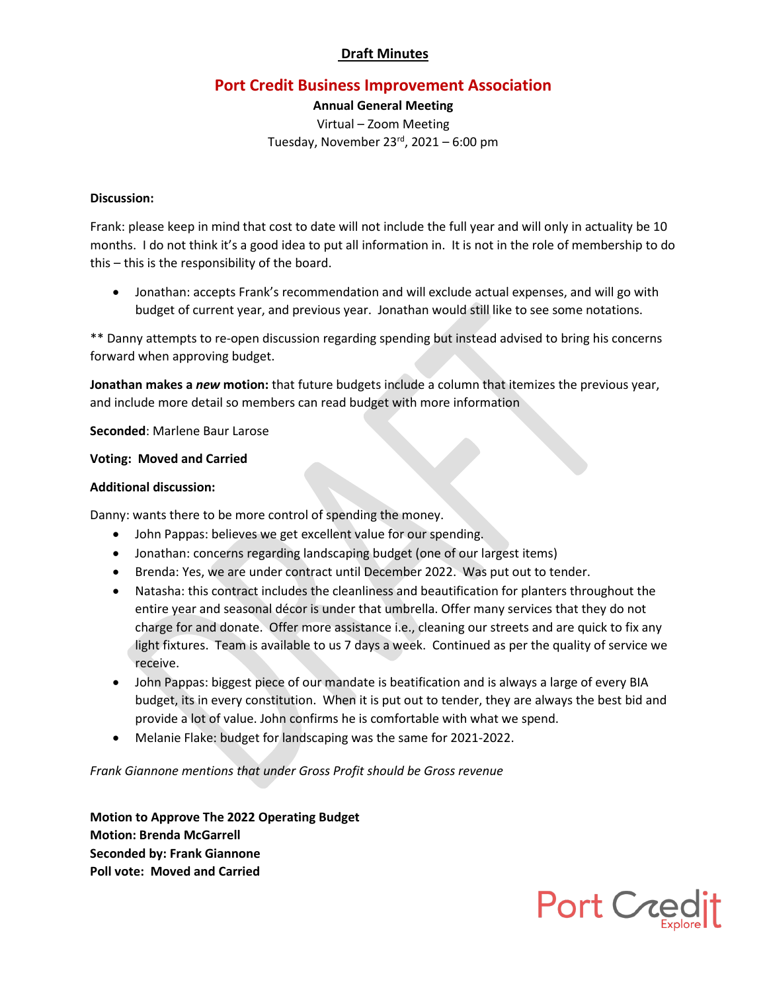# **Port Credit Business Improvement Association**

**Annual General Meeting** Virtual – Zoom Meeting Tuesday, November  $23<sup>rd</sup>$ , 2021 – 6:00 pm

#### **Discussion:**

Frank: please keep in mind that cost to date will not include the full year and will only in actuality be 10 months. I do not think it's a good idea to put all information in. It is not in the role of membership to do this – this is the responsibility of the board.

• Jonathan: accepts Frank's recommendation and will exclude actual expenses, and will go with budget of current year, and previous year. Jonathan would still like to see some notations.

\*\* Danny attempts to re-open discussion regarding spending but instead advised to bring his concerns forward when approving budget.

**Jonathan makes a** *new* **motion:** that future budgets include a column that itemizes the previous year, and include more detail so members can read budget with more information

**Seconded**: Marlene Baur Larose

#### **Voting: Moved and Carried**

#### **Additional discussion:**

Danny: wants there to be more control of spending the money.

- John Pappas: believes we get excellent value for our spending.
- Jonathan: concerns regarding landscaping budget (one of our largest items)
- Brenda: Yes, we are under contract until December 2022. Was put out to tender.
- Natasha: this contract includes the cleanliness and beautification for planters throughout the entire year and seasonal décor is under that umbrella. Offer many services that they do not charge for and donate. Offer more assistance i.e., cleaning our streets and are quick to fix any light fixtures. Team is available to us 7 days a week. Continued as per the quality of service we receive.
- John Pappas: biggest piece of our mandate is beatification and is always a large of every BIA budget, its in every constitution. When it is put out to tender, they are always the best bid and provide a lot of value. John confirms he is comfortable with what we spend.
- Melanie Flake: budget for landscaping was the same for 2021-2022.

*Frank Giannone mentions that under Gross Profit should be Gross revenue*

**Motion to Approve The 2022 Operating Budget Motion: Brenda McGarrell Seconded by: Frank Giannone Poll vote: Moved and Carried**

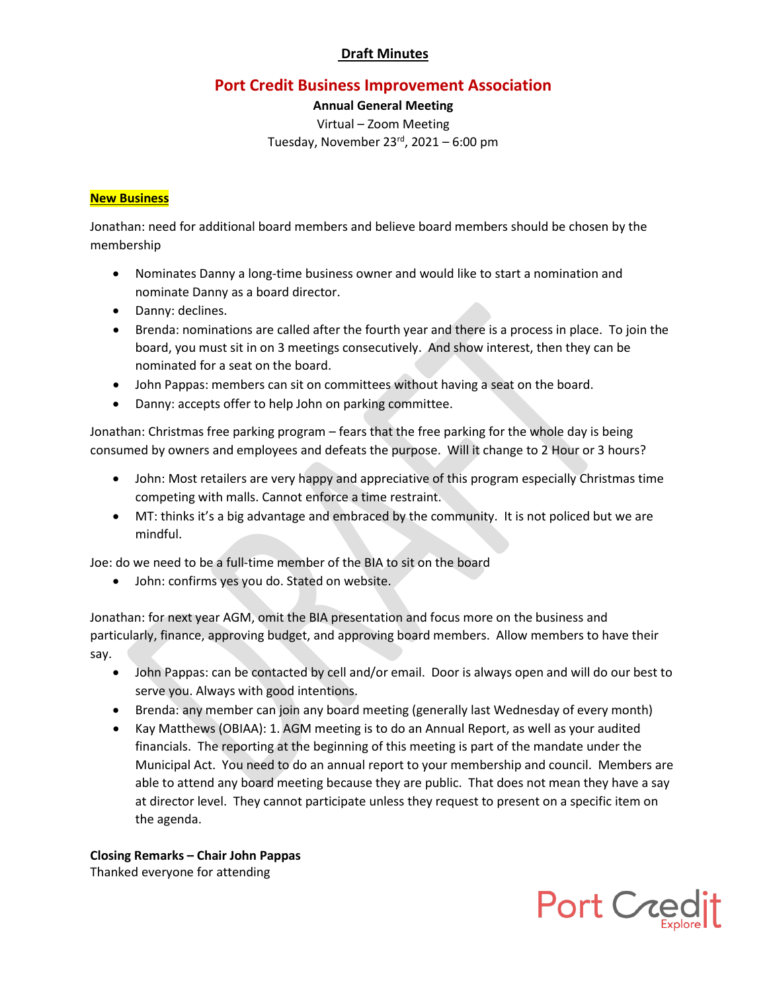# **Port Credit Business Improvement Association**

**Annual General Meeting** Virtual – Zoom Meeting Tuesday, November  $23<sup>rd</sup>$ , 2021 – 6:00 pm

#### **New Business**

Jonathan: need for additional board members and believe board members should be chosen by the membership

- Nominates Danny a long-time business owner and would like to start a nomination and nominate Danny as a board director.
- Danny: declines.
- Brenda: nominations are called after the fourth year and there is a process in place. To join the board, you must sit in on 3 meetings consecutively. And show interest, then they can be nominated for a seat on the board.
- John Pappas: members can sit on committees without having a seat on the board.
- Danny: accepts offer to help John on parking committee.

Jonathan: Christmas free parking program – fears that the free parking for the whole day is being consumed by owners and employees and defeats the purpose. Will it change to 2 Hour or 3 hours?

- John: Most retailers are very happy and appreciative of this program especially Christmas time competing with malls. Cannot enforce a time restraint.
- MT: thinks it's a big advantage and embraced by the community. It is not policed but we are mindful.

Joe: do we need to be a full-time member of the BIA to sit on the board

• John: confirms yes you do. Stated on website.

Jonathan: for next year AGM, omit the BIA presentation and focus more on the business and particularly, finance, approving budget, and approving board members. Allow members to have their say.

- John Pappas: can be contacted by cell and/or email. Door is always open and will do our best to serve you. Always with good intentions.
- Brenda: any member can join any board meeting (generally last Wednesday of every month)
- Kay Matthews (OBIAA): 1. AGM meeting is to do an Annual Report, as well as your audited financials. The reporting at the beginning of this meeting is part of the mandate under the Municipal Act. You need to do an annual report to your membership and council. Members are able to attend any board meeting because they are public. That does not mean they have a say at director level. They cannot participate unless they request to present on a specific item on the agenda.

**Closing Remarks – Chair John Pappas** Thanked everyone for attending